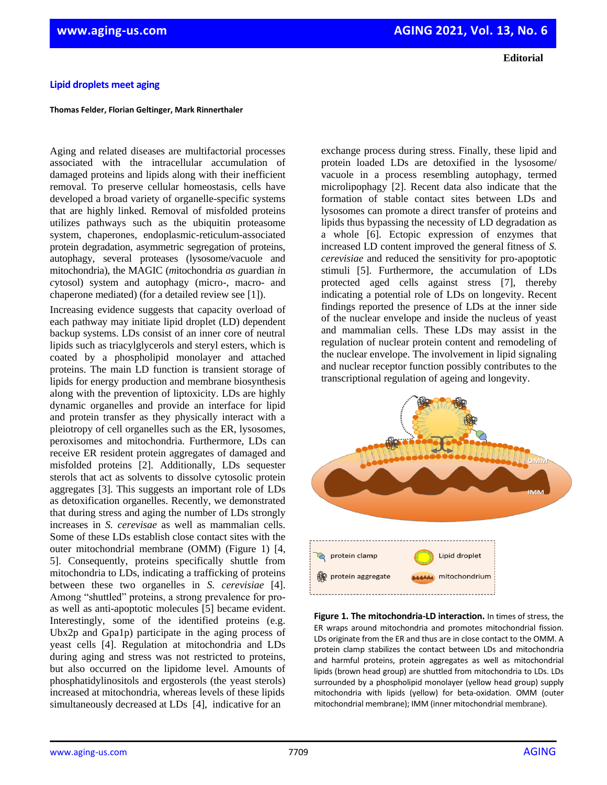## **Editorial**

## **Lipid droplets meet aging**

## **Thomas Felder, Florian Geltinger, Mark Rinnerthaler**

Aging and related diseases are multifactorial processes associated with the intracellular accumulation of damaged proteins and lipids along with their inefficient removal. To preserve cellular homeostasis, cells have developed a broad variety of organelle-specific systems that are highly linked. Removal of misfolded proteins utilizes pathways such as the ubiquitin proteasome system, chaperones, endoplasmic-reticulum-associated protein degradation, asymmetric segregation of proteins, autophagy, several proteases (lysosome/vacuole and mitochondria), the MAGIC (*m*itochondria *a*s *g*uardian *i*n *c*ytosol) system and autophagy (micro-, macro- and chaperone mediated) (for a detailed review see [1]).

Increasing evidence suggests that capacity overload of each pathway may initiate lipid droplet (LD) dependent backup systems. LDs consist of an inner core of neutral lipids such as triacylglycerols and steryl esters, which is coated by a phospholipid monolayer and attached proteins. The main LD function is transient storage of lipids for energy production and membrane biosynthesis along with the prevention of liptoxicity. LDs are highly dynamic organelles and provide an interface for lipid and protein transfer as they physically interact with a pleiotropy of cell organelles such as the ER, lysosomes, peroxisomes and mitochondria. Furthermore, LDs can receive ER resident protein aggregates of damaged and misfolded proteins [2]. Additionally, LDs sequester sterols that act as solvents to dissolve cytosolic protein aggregates [3]. This suggests an important role of LDs as detoxification organelles. Recently, we demonstrated that during stress and aging the number of LDs strongly increases in *S. cerevisae* as well as mammalian cells. Some of these LDs establish close contact sites with the outer mitochondrial membrane (OMM) (Figure 1) [4, 5]. Consequently, proteins specifically shuttle from mitochondria to LDs, indicating a trafficking of proteins between these two organelles in *S. cerevisiae* [4]. Among "shuttled" proteins, a strong prevalence for proas well as anti-apoptotic molecules [5] became evident. Interestingly, some of the identified proteins (e.g. Ubx2p and Gpa1p) participate in the aging process of yeast cells [4]. Regulation at mitochondria and LDs during aging and stress was not restricted to proteins, but also occurred on the lipidome level. Amounts of phosphatidylinositols and ergosterols (the yeast sterols) increased at mitochondria, whereas levels of these lipids simultaneously decreased at LDs [4], indicative for an

exchange process during stress. Finally, these lipid and protein loaded LDs are detoxified in the lysosome/ vacuole in a process resembling autophagy, termed microlipophagy [2]. Recent data also indicate that the formation of stable contact sites between LDs and lysosomes can promote a direct transfer of proteins and lipids thus bypassing the necessity of LD degradation as a whole [6]. Ectopic expression of enzymes that increased LD content improved the general fitness of *S. cerevisiae* and reduced the sensitivity for pro-apoptotic stimuli [5]. Furthermore, the accumulation of LDs protected aged cells against stress [7], thereby indicating a potential role of LDs on longevity. Recent findings reported the presence of LDs at the inner side of the nuclear envelope and inside the nucleus of yeast and mammalian cells. These LDs may assist in the regulation of nuclear protein content and remodeling of the nuclear envelope. The involvement in lipid signaling and nuclear receptor function possibly contributes to the transcriptional regulation of ageing and longevity.



**Figure 1. The mitochondria-LD interaction.** In times of stress, the ER wraps around mitochondria and promotes mitochondrial fission. LDs originate from the ER and thus are in close contact to the OMM. A protein clamp stabilizes the contact between LDs and mitochondria and harmful proteins, protein aggregates as well as mitochondrial lipids (brown head group) are shuttled from mitochondria to LDs. LDs surrounded by a phospholipid monolayer (yellow head group) supply mitochondria with lipids (yellow) for beta-oxidation. OMM (outer mitochondrial membrane); IMM (inner mitochondrial membrane).